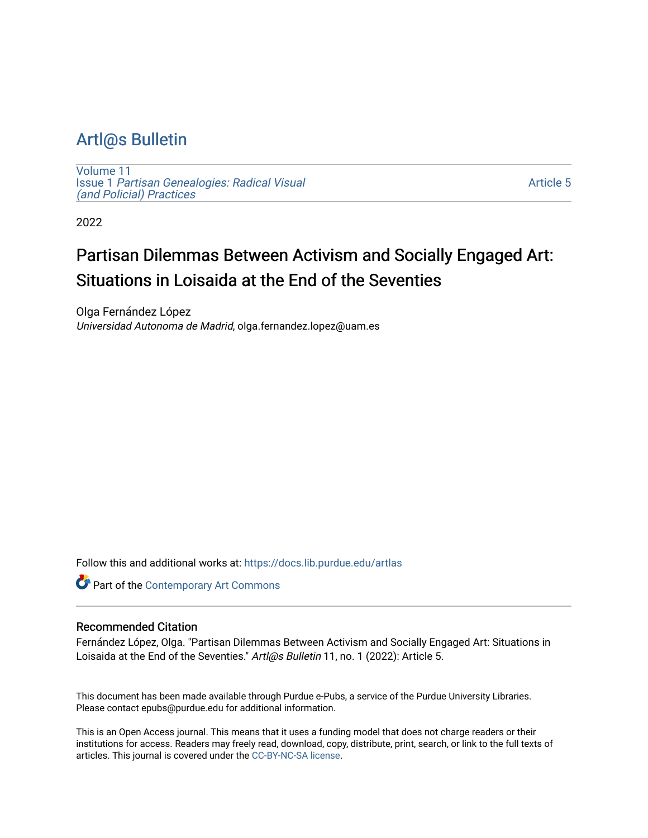# [Artl@s Bulletin](https://docs.lib.purdue.edu/artlas)

[Volume 11](https://docs.lib.purdue.edu/artlas/vol11) Issue 1 [Partisan Genealogies: Radical Visual](https://docs.lib.purdue.edu/artlas/vol11/iss1) [\(and Policial\) Practices](https://docs.lib.purdue.edu/artlas/vol11/iss1) 

[Article 5](https://docs.lib.purdue.edu/artlas/vol11/iss1/5) 

2022

# Partisan Dilemmas Between Activism and Socially Engaged Art: Situations in Loisaida at the End of the Seventies

Olga Fernández López Universidad Autonoma de Madrid, olga.fernandez.lopez@uam.es

Follow this and additional works at: [https://docs.lib.purdue.edu/artlas](https://docs.lib.purdue.edu/artlas?utm_source=docs.lib.purdue.edu%2Fartlas%2Fvol11%2Fiss1%2F5&utm_medium=PDF&utm_campaign=PDFCoverPages)



#### Recommended Citation

Fernández López, Olga. "Partisan Dilemmas Between Activism and Socially Engaged Art: Situations in Loisaida at the End of the Seventies." Artl@s Bulletin 11, no. 1 (2022): Article 5.

This document has been made available through Purdue e-Pubs, a service of the Purdue University Libraries. Please contact epubs@purdue.edu for additional information.

This is an Open Access journal. This means that it uses a funding model that does not charge readers or their institutions for access. Readers may freely read, download, copy, distribute, print, search, or link to the full texts of articles. This journal is covered under the [CC-BY-NC-SA license.](https://creativecommons.org/licenses/by-nc-sa/4.0/)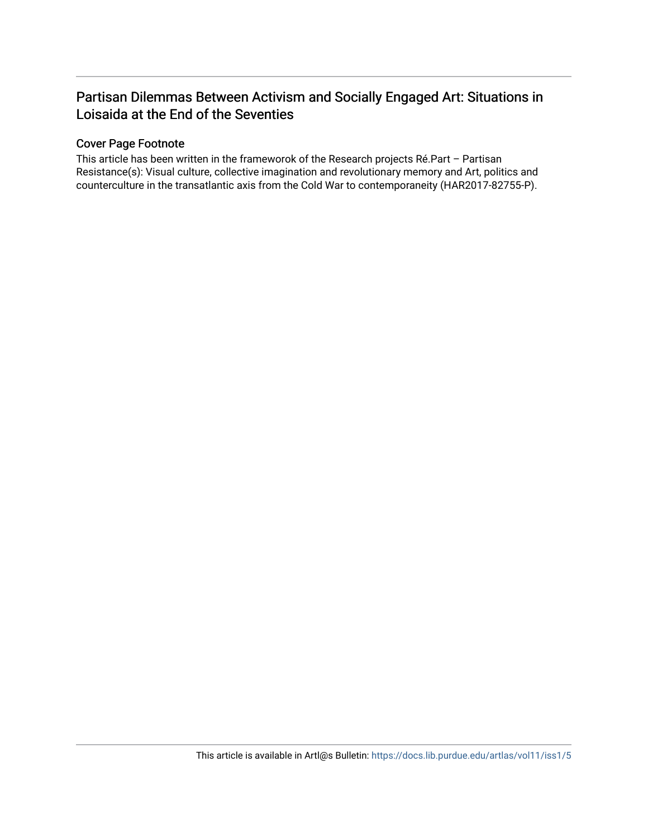# Partisan Dilemmas Between Activism and Socially Engaged Art: Situations in Loisaida at the End of the Seventies

# Cover Page Footnote

This article has been written in the frameworok of the Research projects Ré.Part – Partisan Resistance(s): Visual culture, collective imagination and revolutionary memory and Art, politics and counterculture in the transatlantic axis from the Cold War to contemporaneity (HAR2017-82755-P).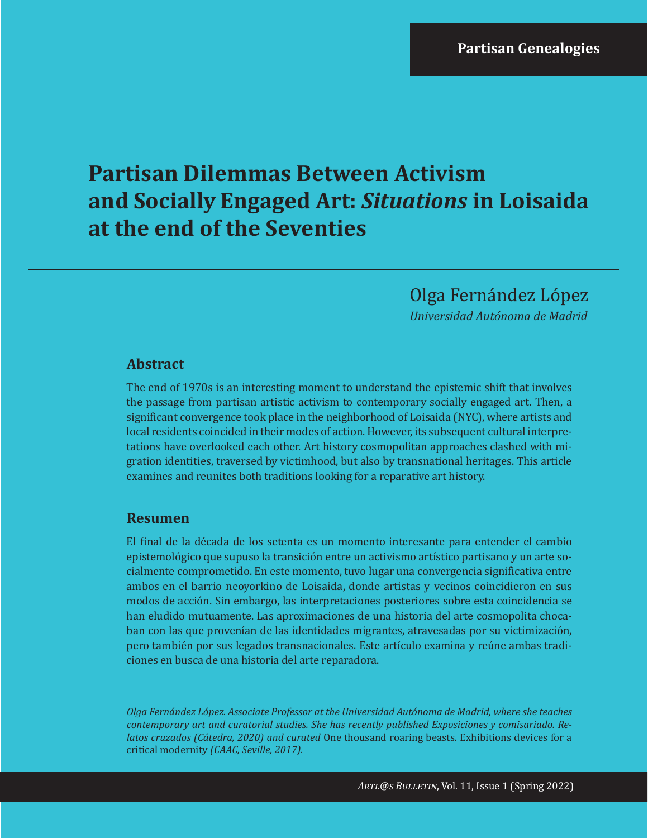# **Partisan Dilemmas Between Activism and Socially Engaged Art:** *Situations* **in Loisaida at the end of the Seventies**

Olga Fernández López

*Universidad Autónoma de Madrid*

# **Abstract**

The end of 1970s is an interesting moment to understand the epistemic shift that involves the passage from partisan artistic activism to contemporary socially engaged art. Then, a significant convergence took place in the neighborhood of Loisaida (NYC), where artists and local residents coincided in their modes of action. However, its subsequent cultural interpretations have overlooked each other. Art history cosmopolitan approaches clashed with migration identities, traversed by victimhood, but also by transnational heritages. This article examines and reunites both traditions looking for a reparative art history.

# **Resumen**

El final de la década de los setenta es un momento interesante para entender el cambio epistemológico que supuso la transición entre un activismo artístico partisano y un arte socialmente comprometido. En este momento, tuvo lugar una convergencia significativa entre ambos en el barrio neoyorkino de Loisaida, donde artistas y vecinos coincidieron en sus modos de acción. Sin embargo, las interpretaciones posteriores sobre esta coincidencia se han eludido mutuamente. Las aproximaciones de una historia del arte cosmopolita chocaban con las que provenían de las identidades migrantes, atravesadas por su victimización, pero también por sus legados transnacionales. Este artículo examina y reúne ambas tradiciones en busca de una historia del arte reparadora.

*Olga Fernández López. Associate Professor at the Universidad Autónoma de Madrid, where she teaches contemporary art and curatorial studies. She has recently published Exposiciones y comisariado. Relatos cruzados (Cátedra, 2020) and curated* One thousand roaring beasts. Exhibitions devices for a critical modernity *(CAAC, Seville, 2017).*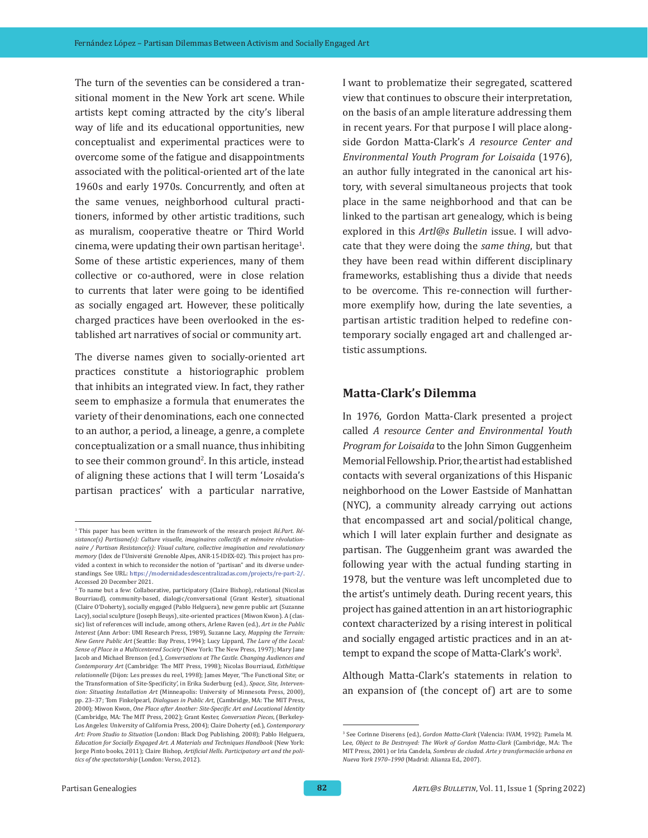The turn of the seventies can be considered a transitional moment in the New York art scene. While artists kept coming attracted by the city's liberal way of life and its educational opportunities, new conceptualist and experimental practices were to overcome some of the fatigue and disappointments associated with the political-oriented art of the late 1960s and early 1970s. Concurrently, and often at the same venues, neighborhood cultural practitioners, informed by other artistic traditions, such as muralism, cooperative theatre or Third World  $c$ inema, were updating their own partisan heritage $^1$ . Some of these artistic experiences, many of them collective or co-authored, were in close relation to currents that later were going to be identified as socially engaged art. However, these politically charged practices have been overlooked in the established art narratives of social or community art.

The diverse names given to socially-oriented art practices constitute a historiographic problem that inhibits an integrated view. In fact, they rather seem to emphasize a formula that enumerates the variety of their denominations, each one connected to an author, a period, a lineage, a genre, a complete conceptualization or a small nuance, thus inhibiting to see their common ground<sup>2</sup>. In this article, instead of aligning these actions that I will term 'Losaida's partisan practices' with a particular narrative,

I want to problematize their segregated, scattered view that continues to obscure their interpretation, on the basis of an ample literature addressing them in recent years. For that purpose I will place alongside Gordon Matta-Clark's *A resource Center and Environmental Youth Program for Loisaida* (1976), an author fully integrated in the canonical art history, with several simultaneous projects that took place in the same neighborhood and that can be linked to the partisan art genealogy, which is being explored in this *Artl@s Bulletin* issue. I will advocate that they were doing the *same thing*, but that they have been read within different disciplinary frameworks, establishing thus a divide that needs to be overcome. This re-connection will furthermore exemplify how, during the late seventies, a partisan artistic tradition helped to redefine contemporary socially engaged art and challenged artistic assumptions.

#### **Matta-Clark's Dilemma**

In 1976, Gordon Matta-Clark presented a project called *A resource Center and Environmental Youth Program for Loisaida* to the John Simon Guggenheim Memorial Fellowship. Prior, the artist had established contacts with several organizations of this Hispanic neighborhood on the Lower Eastside of Manhattan (NYC), a community already carrying out actions that encompassed art and social/political change, which I will later explain further and designate as partisan. The Guggenheim grant was awarded the following year with the actual funding starting in 1978, but the venture was left uncompleted due to the artist's untimely death. During recent years, this project has gained attention in an art historiographic context characterized by a rising interest in political and socially engaged artistic practices and in an attempt to expand the scope of Matta-Clark's work<sup>3</sup>.

Although Matta-Clark's statements in relation to an expansion of (the concept of) art are to some

<sup>&</sup>lt;sup>1</sup> This paper has been written in the framework of the research project *Ré.Part. Résistance(s) Partisane(s): Culture visuelle, imaginaires collectifs et mémoire révolutionnaire / Partisan Resistance(s): Visual culture, collective imagination and revolutionary memory* (Idex de l'Université Grenoble Alpes, ANR-15-IDEX-02). This project has provided a context in which to reconsider the notion of "partisan" and its diverse understandings. See URL: [https://modernidadesdescentralizadas.com/projects/re-part-2/.](https://modernidadesdescentralizadas.com/projects/re-part-2/) [Accessed](https://modernidadesdescentralizadas.com/projects/re-part-2/) 20 December 2021.

<sup>2</sup> To name but a few: Collaborative, participatory (Claire Bishop), relational (Nicolas Bourriaud), community-based, dialogic/conversational (Grant Kester), situational (Claire O'Doherty), socially engaged (Pablo Helguera), new genre public art (Suzanne Lacy), social sculpture (Joseph Beuys), site-oriented practices (Miwon Kwon). A (classic) list of references will include, among others, Arlene Raven (ed.), *Art in the Public Interest* (Ann Arbor: UMI Research Press, 1989), Suzanne Lacy, *Mapping the Terrain: New Genre Public Art* (Seattle: Bay Press, 1994); Lucy Lippard, *The Lure of the Local: Sense of Place in a Multicentered Society* (New York: The New Press, 1997); Mary Jane Jacob and Michael Brenson (ed.), *Conversations at The Castle. Changing Audiences and Contemporary Art* (Cambridge: The MIT Press, 1998); Nicolas Bourriaud, *Esthétique relationnelle* (Dijon: Les presses du reel, 1998); James Meyer, 'The Functional Site; or the Transformation of Site-Specificity', in Erika Suderburg (ed.), *Space, Site, Intervention: Situating Installation Art* (Minneapolis: University of Minnesota Press, 2000), pp. 23–37; Tom Finkelpearl, *Dialogues in Public Art,* (Cambridge, MA: The MIT Press, 2000); Miwon Kwon, *One Place after Another: Site-Specific Art and Locational Identity* (Cambridge, MA: The MIT Press, 2002); Grant Kester, *Conversation Pieces*, (Berkeley-Los Angeles: University of California Press, 2004); Claire Doherty (ed.), *Contemporary Art: From Studio to Situation* (London: Black Dog Publishing, 2008); Pablo Helguera, *Education for Socially Engaged Art. A Materials and Techniques Handbook* (New York: Jorge Pinto books, 2011); Claire Bishop, *Artificial Hells. Participatory art and the politics of the spectatorship* (London: Verso, 2012).

<sup>3</sup> See Corinne Diserens (ed.), *Gordon Matta-Clark* (Valencia: IVAM, 1992); Pamela M. Lee, *Object to Be Destroyed: The Work of Gordon Matta-Clark* (Cambridge, MA: The MIT Press, 2001) or Iria Candela, *Sombras de ciudad. Arte y transformación urbana en Nueva York 1970–1990* (Madrid: Alianza Ed., 2007).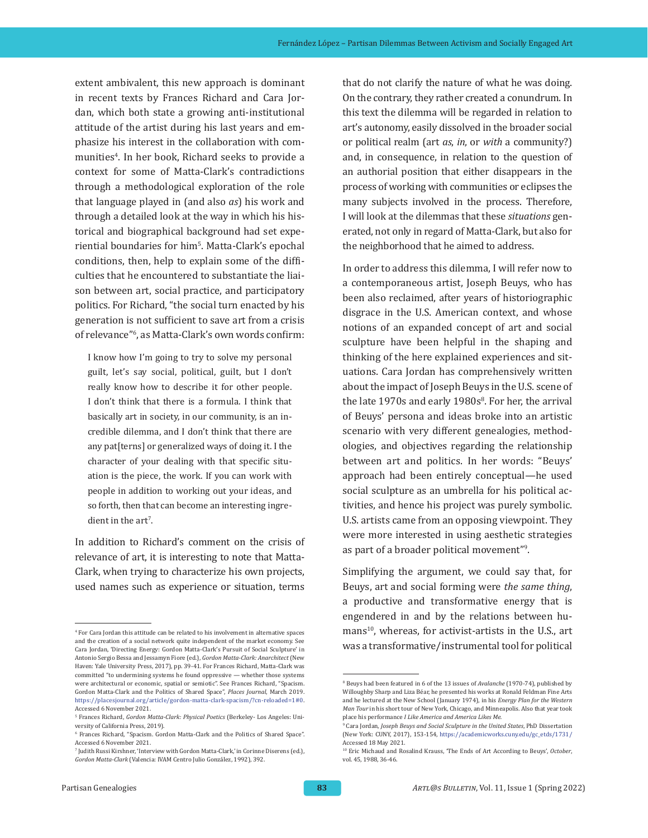extent ambivalent, this new approach is dominant in recent texts by Frances Richard and Cara Jordan, which both state a growing anti-institutional attitude of the artist during his last years and emphasize his interest in the collaboration with communities4 . In her book, Richard seeks to provide a context for some of Matta-Clark's contradictions through a methodological exploration of the role that language played in (and also *as*) his work and through a detailed look at the way in which his historical and biographical background had set experiential boundaries for him<sup>s</sup>. Matta-Clark's epochal conditions, then, help to explain some of the difficulties that he encountered to substantiate the liaison between art, social practice, and participatory politics. For Richard, "the social turn enacted by his generation is not sufficient to save art from a crisis of relevance"<sup>6</sup> , as Matta-Clark's own words confirm:

I know how I'm going to try to solve my personal guilt, let's say social, political, guilt, but I don't really know how to describe it for other people. I don't think that there is a formula. I think that basically art in society, in our community, is an incredible dilemma, and I don't think that there are any pat[terns] or generalized ways of doing it. I the character of your dealing with that specific situation is the piece, the work. If you can work with people in addition to working out your ideas, and so forth, then that can become an interesting ingredient in the art'.

In addition to Richard's comment on the crisis of relevance of art, it is interesting to note that Matta-Clark, when trying to characterize his own projects, used names such as experience or situation, terms that do not clarify the nature of what he was doing. On the contrary, they rather created a conundrum. In this text the dilemma will be regarded in relation to art's autonomy, easily dissolved in the broader social or political realm (art *as*, *in*, or *with* a community?) and, in consequence, in relation to the question of an authorial position that either disappears in the process of working with communities or eclipses the many subjects involved in the process. Therefore, I will look at the dilemmas that these *situations* generated, not only in regard of Matta-Clark, but also for the neighborhood that he aimed to address.

In order to address this dilemma, I will refer now to a contemporaneous artist, Joseph Beuys, who has been also reclaimed, after years of historiographic disgrace in the U.S. American context, and whose notions of an expanded concept of art and social sculpture have been helpful in the shaping and thinking of the here explained experiences and situations. Cara Jordan has comprehensively written about the impact of Joseph Beuys in the U.S. scene of the late 1970s and early 1980s<sup>8</sup>. For her, the arrival of Beuys' persona and ideas broke into an artistic scenario with very different genealogies, methodologies, and objectives regarding the relationship between art and politics. In her words: "Beuys' approach had been entirely conceptual—he used social sculpture as an umbrella for his political activities, and hence his project was purely symbolic. U.S. artists came from an opposing viewpoint. They were more interested in using aesthetic strategies as part of a broader political movement"<sup>9</sup> .

Simplifying the argument, we could say that, for Beuys, art and social forming were *the same thing*, a productive and transformative energy that is engendered in and by the relations between humans<sup>10</sup>, whereas, for activist-artists in the U.S., art was a transformative/instrumental tool for political

<sup>4</sup> For Cara Jordan this attitude can be related to his involvement in alternative spaces and the creation of a social network quite independent of the market economy. See Cara Jordan, 'Directing Energy: Gordon Matta-Clark's Pursuit of Social Sculpture' in Antonio Sergio Bessa and Jessamyn Fiore (ed.), *Gordon Matta-Clark: Anarchitect* (New Haven: Yale University Press, 2017), pp. 39-41. For Frances Richard, Matta-Clark was committed "to undermining systems he found oppressive — whether those systems were architectural or economic, spatial or semiotic". See Frances Richard, "Spacism. Gordon Matta-Clark and the Politics of Shared Space", *Places Journal*, March 2019. [https://placesjournal.org/article/gordon-matta-clark-spacism/?cn-reloaded=1#0.](https://placesjournal.org/article/gordon-matta-clark-spacism/?cn-reloaded=1#0) Accessed 6 November 2021.

<sup>5</sup> Frances Richard, *Gordon Matta-Clark: Physical Poetics* (Berkeley- Los Angeles: University of California Press, 2019).

<sup>6</sup> Frances Richard, "Spacism. Gordon Matta-Clark and the Politics of Shared Space". Accessed 6 November 2021.

<sup>7</sup> Judith Russi Kirshner, 'Interview with Gordon Matta-Clark,' in Corinne Diserens (ed.), *Gordon Matta-Clark* (Valencia: IVAM Centro Julio González, 1992), 392.

<sup>8</sup> Beuys had been featured in 6 of the 13 issues of *Avalanche* (1970-74), published by Willoughby Sharp and Liza Béar, he presented his works at Ronald Feldman Fine Arts and he lectured at the New School (January 1974), in his *Energy Plan for the Western Man Tour* in his short tour of New York, Chicago, and Minneapolis. Also that year took place his performance *I Like America and America Likes Me.* 

<sup>9</sup> Cara Jordan, *Joseph Beuys and Social Sculpture in the United States*, PhD Dissertation (New York: CUNY, 2017), 153-154, [https://academicworks.cuny.edu/gc\\_etds/1731/](https://academicworks.cuny.edu/gc_etds/1731/) Accessed 18 May 2021.

<sup>10</sup> Eric Michaud and Rosalind Krauss, 'The Ends of Art According to Beuys', *October*, vol. 45, 1988, 36-46.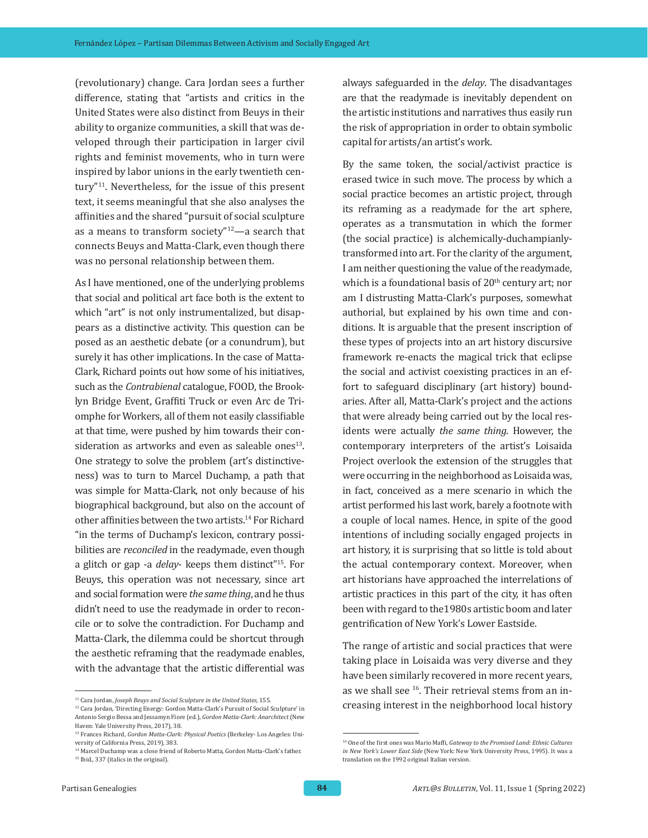(revolutionary) change. Cara Jordan sees a further difference, stating that "artists and critics in the United States were also distinct from Beuys in their ability to organize communities, a skill that was developed through their participation in larger civil rights and feminist movements, who in turn were inspired by labor unions in the early twentieth century"11. Nevertheless, for the issue of this present text, it seems meaningful that she also analyses the affinities and the shared "pursuit of social sculpture as a means to transform society"12—a search that connects Beuys and Matta-Clark, even though there was no personal relationship between them.

As I have mentioned, one of the underlying problems that social and political art face both is the extent to which "art" is not only instrumentalized, but disappears as a distinctive activity. This question can be posed as an aesthetic debate (or a conundrum), but surely it has other implications. In the case of Matta-Clark, Richard points out how some of his initiatives, such as the *Contrabienal* catalogue, FOOD, the Brooklyn Bridge Event, Graffiti Truck or even Arc de Triomphe for Workers, all of them not easily classifiable at that time, were pushed by him towards their consideration as artworks and even as saleable ones $13$ . One strategy to solve the problem (art's distinctiveness) was to turn to Marcel Duchamp, a path that was simple for Matta-Clark, not only because of his biographical background, but also on the account of other affinities between the two artists.14 For Richard "in the terms of Duchamp's lexicon, contrary possibilities are *reconciled* in the readymade, even though a glitch or gap -a *delay*- keeps them distinct"15. For Beuys, this operation was not necessary, since art and social formation were *the same thing*, and he thus didn't need to use the readymade in order to reconcile or to solve the contradiction. For Duchamp and Matta-Clark, the dilemma could be shortcut through the aesthetic reframing that the readymade enables, with the advantage that the artistic differential was

always safeguarded in the *delay*. The disadvantages are that the readymade is inevitably dependent on the artistic institutions and narratives thus easily run the risk of appropriation in order to obtain symbolic capital for artists/an artist's work.

By the same token, the social/activist practice is erased twice in such move. The process by which a social practice becomes an artistic project, through its reframing as a readymade for the art sphere, operates as a transmutation in which the former (the social practice) is alchemically-duchampianlytransformed into art. For the clarity of the argument, I am neither questioning the value of the readymade, which is a foundational basis of  $20<sup>th</sup>$  century art; nor am I distrusting Matta-Clark's purposes, somewhat authorial, but explained by his own time and conditions. It is arguable that the present inscription of these types of projects into an art history discursive framework re-enacts the magical trick that eclipse the social and activist coexisting practices in an effort to safeguard disciplinary (art history) boundaries. After all, Matta-Clark's project and the actions that were already being carried out by the local residents were actually *the same thing*. However, the contemporary interpreters of the artist's Loisaida Project overlook the extension of the struggles that were occurring in the neighborhood as Loisaida was, in fact, conceived as a mere scenario in which the artist performed his last work, barely a footnote with a couple of local names. Hence, in spite of the good intentions of including socially engaged projects in art history, it is surprising that so little is told about the actual contemporary context. Moreover, when art historians have approached the interrelations of artistic practices in this part of the city, it has often been with regard to the1980s artistic boom and later gentrification of New York's Lower Eastside.

The range of artistic and social practices that were taking place in Loisaida was very diverse and they have been similarly recovered in more recent years, as we shall see 16. Their retrieval stems from an increasing interest in the neighborhood local history

<sup>&</sup>lt;sup>11</sup> Cara Jordan, *Joseph Beuys and Social Sculpture in the United States*, 155.

<sup>12</sup> Cara Jordan, 'Directing Energy: Gordon Matta-Clark's Pursuit of Social Sculpture' in Antonio Sergio Bessa and Jessamyn Fiore (ed.), *Gordon Matta-Clark: Anarchitect* (New Haven: Yale University Press, 2017), 38.

<sup>13</sup> Frances Richard, *Gordon Matta-Clark: Physical Poetics* (Berkeley- Los Angeles: University of California Press, 2019), 383.

<sup>&</sup>lt;sup>14</sup> Marcel Duchamp was a close friend of Roberto Matta, Gordon Matta-Clark's father. <sup>15</sup> Ibid., 337 (italics in the original).

<sup>16</sup> One of the first ones was Mario Maffi, *Gateway to the Promised Land: Ethnic Cultures in New York's Lower East Side* (New York: New York University Press, 1995). It was a translation on the 1992 original Italian version.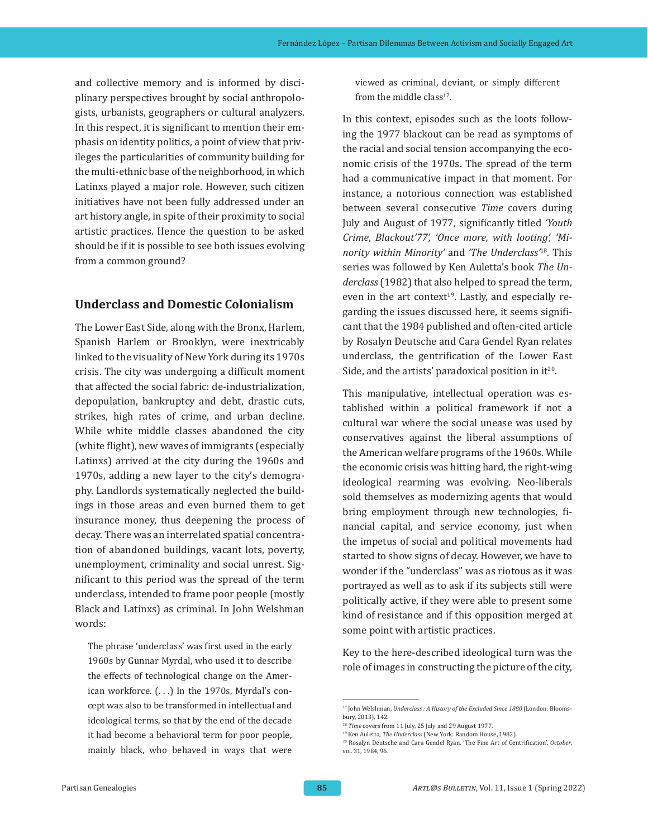and collective memory and is informed by disciplinary perspectives brought by social anthropologists, urbanists, geographers or cultural analyzers. In this respect, it is significant to mention their emphasis on identity politics, a point of view that privileges the particularities of community building for the multi-ethnic base of the neighborhood, in which Latinxs played a major role. However, such citizen initiatives have not been fully addressed under an art history angle, in spite of their proximity to social artistic practices. Hence the question to be asked should be if it is possible to see both issues evolving from a common ground?

### **Underclass and Domestic Colonialism**

The Lower East Side, along with the Bronx, Harlem, Spanish Harlem or Brooklyn, were inextricably linked to the visuality of New York during its 1970s crisis. The city was undergoing a difficult moment that affected the social fabric: de-industrialization, depopulation, bankruptcy and debt, drastic cuts, strikes, high rates of crime, and urban decline. While white middle classes abandoned the city (white flight), new waves of immigrants (especially Latinxs) arrived at the city during the 1960s and 1970s, adding a new layer to the city's demography. Landlords systematically neglected the buildings in those areas and even burned them to get insurance money, thus deepening the process of decay. There was an interrelated spatial concentration of abandoned buildings, vacant lots, poverty, unemployment, criminality and social unrest. Significant to this period was the spread of the term underclass, intended to frame poor people (mostly Black and Latinxs) as criminal. In John Welshman words:

The phrase 'underclass' was first used in the early 1960s by Gunnar Myrdal, who used it to describe the effects of technological change on the American workforce. (...) In the 1970s, Myrdal's concept was also to be transformed in intellectual and ideological terms, so that by the end of the decade it had become a behavioral term for poor people, mainly black, who behaved in ways that were viewed as criminal, deviant, or simply different from the middle class<sup>17</sup>.

In this context, episodes such as the loots following the 1977 blackout can be read as symptoms of the racial and social tension accompanying the economic crisis of the 1970s. The spread of the term had a communicative impact in that moment. For instance, a notorious connection was established between several consecutive *Time* covers during July and August of 1977, significantly titled *'Youth Crime*, *Blackout'77', 'Once more, with looting', 'Minority within Minority'* and *'The Underclass'*18. This series was followed by Ken Auletta's book *The Underclass* (1982) that also helped to spread the term, even in the art context<sup>19</sup>. Lastly, and especially regarding the issues discussed here, it seems significant that the 1984 published and often-cited article by Rosalyn Deutsche and Cara Gendel Ryan relates underclass, the gentrification of the Lower East Side, and the artists' paradoxical position in  $it^{20}$ .

This manipulative, intellectual operation was established within a political framework if not a cultural war where the social unease was used by conservatives against the liberal assumptions of the American welfare programs of the 1960s. While the economic crisis was hitting hard, the right-wing ideological rearming was evolving. Neo-liberals sold themselves as modernizing agents that would bring employment through new technologies, financial capital, and service economy, just when the impetus of social and political movements had started to show signs of decay. However, we have to wonder if the "underclass" was as riotous as it was portrayed as well as to ask if its subjects still were politically active, if they were able to present some kind of resistance and if this opposition merged at some point with artistic practices.

Key to the here-described ideological turn was the role of images in constructing the picture of the city,

<sup>17</sup> John Welshman, *Underclass : A History of the Excluded Since 1880* (London: Bloomsbury, 2013), 142.

<sup>&</sup>lt;sup>18</sup> *Time* covers from 11 July, 25 July and 29 August 1977.

<sup>19</sup> Ken Auletta, *The Underclass* (New York: Random House, 1982).

<sup>20</sup> Rosalyn Deutsche and Cara Gendel Ryan, 'The Fine Art of Gentrification', *October*, vol. 31, 1984, 96.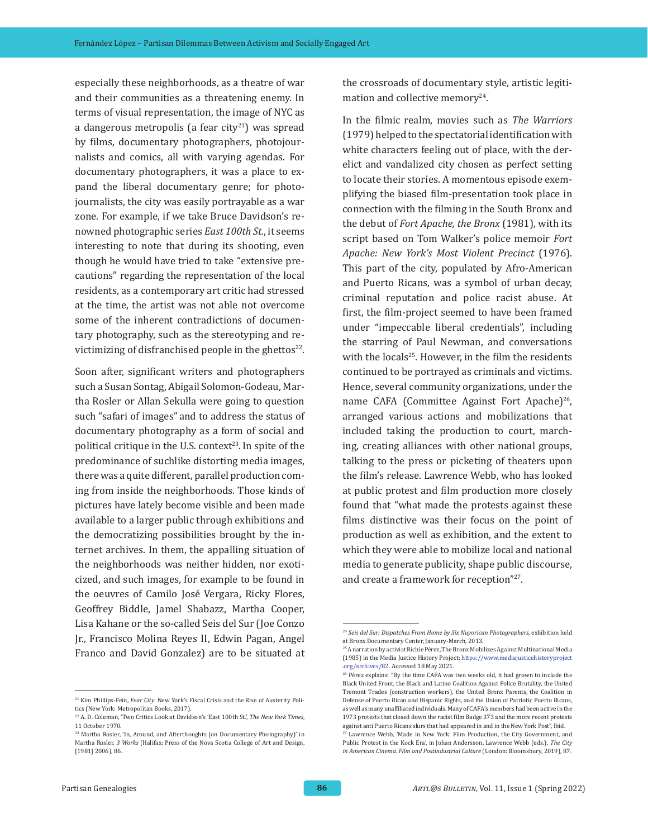especially these neighborhoods, as a theatre of war and their communities as a threatening enemy. In terms of visual representation, the image of NYC as a dangerous metropolis (a fear city $21$ ) was spread by films, documentary photographers, photojournalists and comics, all with varying agendas. For documentary photographers, it was a place to expand the liberal documentary genre; for photojournalists, the city was easily portrayable as a war zone. For example, if we take Bruce Davidson's renowned photographic series *East 100th St.*, it seems interesting to note that during its shooting, even though he would have tried to take "extensive precautions" regarding the representation of the local residents, as a contemporary art critic had stressed at the time, the artist was not able not overcome some of the inherent contradictions of documentary photography, such as the stereotyping and revictimizing of disfranchised people in the ghettos $22$ .

Soon after, significant writers and photographers such a Susan Sontag, Abigail Solomon-Godeau, Martha Rosler or Allan Sekulla were going to question such "safari of images" and to address the status of documentary photography as a form of social and political critique in the U.S. context<sup>23</sup>. In spite of the predominance of suchlike distorting media images, there was a quite different, parallel production coming from inside the neighborhoods. Those kinds of pictures have lately become visible and been made available to a larger public through exhibitions and the democratizing possibilities brought by the internet archives. In them, the appalling situation of the neighborhoods was neither hidden, nor exoticized, and such images, for example to be found in the oeuvres of Camilo José Vergara, Ricky Flores, Geoffrey Biddle, Jamel Shabazz, Martha Cooper, Lisa Kahane or the so-called Seis del Sur (Joe Conzo Jr., Francisco Molina Reyes II, Edwin Pagan, Angel Franco and David Gonzalez) are to be situated at

<sup>21</sup> Kim Phillips-Fein, *Fear City*: New York's Fiscal Crisis and the Rise of Austerity Politics (New York: Metropolitan Books, 2017).

the crossroads of documentary style, artistic legitimation and collective memory<sup>24</sup>.

In the filmic realm, movies such as *The Warriors* (1979) helped to the spectatorial identification with white characters feeling out of place, with the derelict and vandalized city chosen as perfect setting to locate their stories. A momentous episode exemplifying the biased film-presentation took place in connection with the filming in the South Bronx and the debut of *Fort Apache, the Bronx* (1981), with its script based on Tom Walker's police memoir *Fort Apache: New York's Most Violent Precinct* (1976). This part of the city, populated by Afro-American and Puerto Ricans, was a symbol of urban decay, criminal reputation and police racist abuse. At first, the film-project seemed to have been framed under "impeccable liberal credentials", including the starring of Paul Newman, and conversations with the locals<sup>25</sup>. However, in the film the residents continued to be portrayed as criminals and victims. Hence, several community organizations, under the name CAFA (Committee Against Fort Apache)<sup>26</sup>, arranged various actions and mobilizations that included taking the production to court, marching, creating alliances with other national groups, talking to the press or picketing of theaters upon the film's release. Lawrence Webb, who has looked at public protest and film production more closely found that "what made the protests against these films distinctive was their focus on the point of production as well as exhibition, and the extent to which they were able to mobilize local and national media to generate publicity, shape public discourse, and create a framework for reception"27.

<sup>22</sup> A. D. Coleman, 'Two Critics Look at Davidson's ʻEast 100th St.', *The New York Times*, 11 October 1970.

<sup>23</sup> Martha Rosler, 'In, Around, and Afterthoughts (on Documentary Photography)' in Martha Rosler, *3 Works* (Halifax: Press of the Nova Scotia College of Art and Design, [1981] 2006), 86.

<sup>24</sup> *Seis del Sur: Dispatches From Home by Six Nuyorican Photographers*, exhibition held at Bronx Documentary Center, January-March, 2013.

<sup>25</sup>A narration by activist Richie Pérez, The Bronx Mobilizes Against Multinational Media (1985) in the Media Justice History Project: [https://www.mediajusticehistoryproject](https://www.mediajusticehistoryproject.org/archives/82) [.org/archives/82.](https://www.mediajusticehistoryproject.org/archives/82) Accessed 18 May 2021.

<sup>&</sup>lt;sup>26</sup> Pérez explains: "By the time CAFA was two weeks old, it had grown to include the Black United Front, the Black and Latino Coalition Against Police Brutality, the United Tremont Trades (construction workers), the United Bronx Parents, the Coalition in Defense of Puerto Rican and Hispanic Rights, and the Union of Patriotic Puerto Ricans, as well as many unaffiliated individuals. Many of CAFA's members had been active in the 1973 protests that closed down the racist film Badge 373 and the more recent protests against anti Puerto Ricans slurs that had appeared in and in the New York Post", Ibid.

<sup>27</sup> Lawrence Webb, 'Made in New York: Film Production, the City Government, and Public Protest in the Kock Era', in Johan Andersson, Lawrence Webb (eds.), *The City in American Cinema. Film and Postindustrial Culture* (London: Bloomsbury, 2019), 87.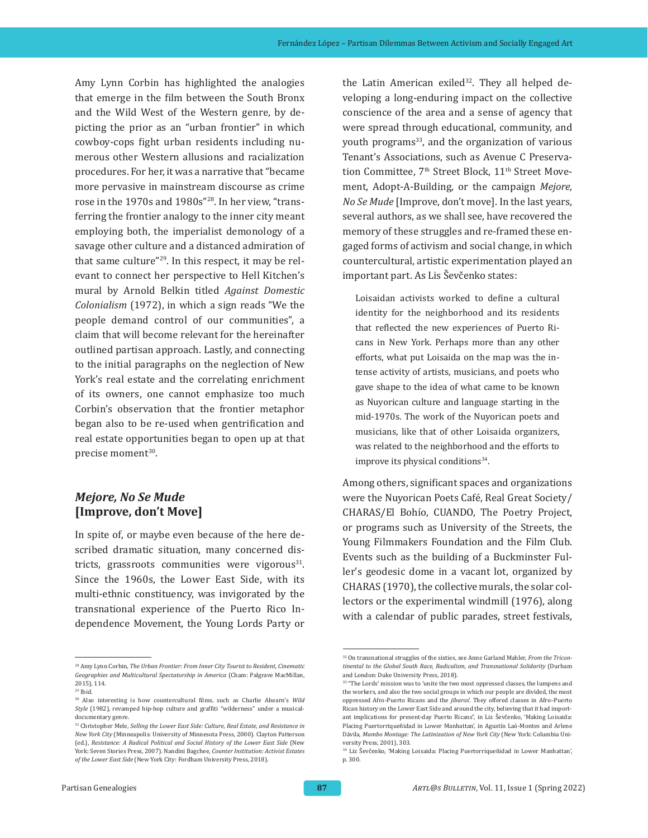Amy Lynn Corbin has highlighted the analogies that emerge in the film between the South Bronx and the Wild West of the Western genre, by depicting the prior as an "urban frontier" in which cowboy-cops fight urban residents including numerous other Western allusions and racialization procedures. For her, it was a narrative that "became more pervasive in mainstream discourse as crime rose in the 1970s and 1980s"28. In her view, "transferring the frontier analogy to the inner city meant employing both, the imperialist demonology of a savage other culture and a distanced admiration of that same culture"29. In this respect, it may be relevant to connect her perspective to Hell Kitchen's mural by Arnold Belkin titled *Against Domestic Colonialism* (1972), in which a sign reads "We the people demand control of our communities", a claim that will become relevant for the hereinafter outlined partisan approach. Lastly, and connecting to the initial paragraphs on the neglection of New York's real estate and the correlating enrichment of its owners, one cannot emphasize too much Corbin's observation that the frontier metaphor began also to be re-used when gentrification and real estate opportunities began to open up at that precise moment<sup>30</sup>.

## *Mejore, No Se Mude* **[Improve, don't Move]**

In spite of, or maybe even because of the here described dramatic situation, many concerned districts, grassroots communities were vigorous $31$ . Since the 1960s, the Lower East Side, with its multi-ethnic constituency, was invigorated by the transnational experience of the Puerto Rico Independence Movement, the Young Lords Party or the Latin American exiled<sup>32</sup>. They all helped developing a long-enduring impact on the collective conscience of the area and a sense of agency that were spread through educational, community, and youth programs<sup>33</sup>, and the organization of various Tenant's Associations, such as Avenue C Preservation Committee, 7<sup>th</sup> Street Block, 11<sup>th</sup> Street Movement, Adopt-A-Building, or the campaign *Mejore, No Se Mude* [Improve, don't move]. In the last years, several authors, as we shall see, have recovered the memory of these struggles and re-framed these engaged forms of activism and social change, in which countercultural, artistic experimentation played an important part. As Lis Ševčenko states:

Loisaidan activists worked to define a cultural identity for the neighborhood and its residents that reflected the new experiences of Puerto Ricans in New York. Perhaps more than any other efforts, what put Loisaida on the map was the intense activity of artists, musicians, and poets who gave shape to the idea of what came to be known as Nuyorican culture and language starting in the mid-1970s. The work of the Nuyorican poets and musicians, like that of other Loisaida organizers, was related to the neighborhood and the efforts to improve its physical conditions<sup>34</sup>.

Among others, significant spaces and organizations were the Nuyorican Poets Café, Real Great Society/ CHARAS/El Bohío, CUANDO, The Poetry Project, or programs such as University of the Streets, the Young Filmmakers Foundation and the Film Club. Events such as the building of a Buckminster Fuller's geodesic dome in a vacant lot, organized by CHARAS (1970), the collective murals, the solar collectors or the experimental windmill (1976), along with a calendar of public parades, street festivals,

<sup>28</sup> Amy Lynn Corbin, *The Urban Frontier: From Inner City Tourist to Resident, Cinematic Geographies and Multicultural Spectatorship in America* (Cham: Palgrave MacMillan, 2015), 114.

<sup>29</sup> Ibid.

<sup>30</sup> Also interesting is how countercultural films, such as Charlie Ahearn's *Wild Style* (1982), revamped hip-hop culture and graffiti "wilderness" under a musicaldocumentary genre.

<sup>31</sup> Christopher Mele, *Selling the Lower East Side: Culture, Real Estate, and Resistance in New York City* (Minneapolis: University of Minnesota Press, 2000). Clayton Patterson (ed.), *Resistance: A Radical Political and Social History of the Lower East Side* (New York: Seven Stories Press, 2007). Nandini Bagchee, *Counter Institution: Activist Estates of the Lower East Side* (New York City: Fordham University Press, 2018).

<sup>32</sup> On transnational struggles of the sixties, see Anne Garland Mahler, *From the Tricontinental to the Global South Race, Radicalism, and Transnational Solidarity* (Durham and London: Duke University Press, 2018).

<sup>&</sup>lt;sup>33</sup> "The Lords' mission was to 'unite the two most oppressed classes, the lumpens and the workers, and also the two social groups in which our people are divided, the most oppressed Afro-Puerto Ricans and the *jíbaros*'. They offered classes in Afro–Puerto Rican history on the Lower East Side and around the city, believing that it had important implications for present-day Puerto Ricans", in Liz Ševčenko, 'Making Loisaida: Placing Puertorriqueñidad in Lower Manhattan', in Agustín Laó-Montes and Arlene Dávila, *Mambo Montage: The Latinization of New York City* (New York: Columbia University Press, 2001), 303.

<sup>34</sup> Liz Ševčenko, 'Making Loisaida: Placing Puertorriqueñidad in Lower Manhattan', p. 300.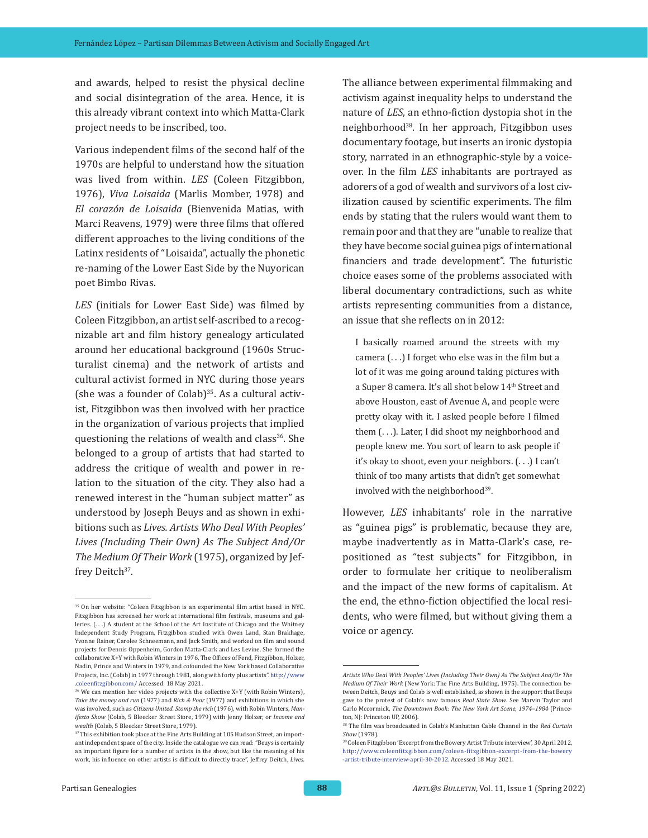and awards, helped to resist the physical decline and social disintegration of the area. Hence, it is this already vibrant context into which Matta-Clark project needs to be inscribed, too.

Various independent films of the second half of the 1970s are helpful to understand how the situation was lived from within. *LES* (Coleen Fitzgibbon, 1976), *Viva Loisaida* (Marlis Momber, 1978) and *El corazón de Loisaida* (Bienvenida Matias, with Marci Reavens, 1979) were three films that offered different approaches to the living conditions of the Latinx residents of "Loisaida", actually the phonetic re-naming of the Lower East Side by the Nuyorican poet Bimbo Rivas.

*LES* (initials for Lower East Side) was filmed by Coleen Fitzgibbon, an artist self-ascribed to a recognizable art and film history genealogy articulated around her educational background (1960s Structuralist cinema) and the network of artists and cultural activist formed in NYC during those years (she was a founder of Colab) $35$ . As a cultural activist, Fitzgibbon was then involved with her practice in the organization of various projects that implied questioning the relations of wealth and class<sup>36</sup>. She belonged to a group of artists that had started to address the critique of wealth and power in relation to the situation of the city. They also had a renewed interest in the "human subject matter" as understood by Joseph Beuys and as shown in exhibitions such as *Lives. Artists Who Deal With Peoples' Lives (Including Their Own) As The Subject And/Or The Medium Of Their Work* (1975), organized by Jeffrey Deitch<sup>37</sup>.

The alliance between experimental filmmaking and activism against inequality helps to understand the nature of *LES*, an ethno-fiction dystopia shot in the neighborhood<sup>38</sup>. In her approach, Fitzgibbon uses documentary footage, but inserts an ironic dystopia story, narrated in an ethnographic-style by a voiceover. In the film *LES* inhabitants are portrayed as adorers of a god of wealth and survivors of a lost civilization caused by scientific experiments. The film ends by stating that the rulers would want them to remain poor and that they are "unable to realize that they have become social guinea pigs of international financiers and trade development". The futuristic choice eases some of the problems associated with liberal documentary contradictions, such as white artists representing communities from a distance, an issue that she reflects on in 2012:

I basically roamed around the streets with my camera  $(...)$  I forget who else was in the film but a lot of it was me going around taking pictures with a Super 8 camera. It's all shot below 14<sup>th</sup> Street and above Houston, east of Avenue A, and people were pretty okay with it. I asked people before I filmed them (...). Later, I did shoot my neighborhood and people knew me. You sort of learn to ask people if it's okay to shoot, even your neighbors. (. . .) I can't think of too many artists that didn't get somewhat involved with the neighborhood<sup>39</sup>.

However, *LES* inhabitants' role in the narrative as "guinea pigs" is problematic, because they are, maybe inadvertently as in Matta-Clark's case, repositioned as "test subjects" for Fitzgibbon, in order to formulate her critique to neoliberalism and the impact of the new forms of capitalism. At the end, the ethno-fiction objectified the local residents, who were filmed, but without giving them a voice or agency.

<sup>35</sup> On her website: "Coleen Fitzgibbon is an experimental film artist based in NYC. Fitzgibbon has screened her work at international film festivals, museums and galleries. (...) A student at the School of the Art Institute of Chicago and the Whitney Independent Study Program, Fitzgibbon studied with Owen Land, Stan Brakhage, Yvonne Rainer, Carolee Schneemann, and Jack Smith, and worked on film and sound projects for Dennis Oppenheim, Gordon Matta-Clark and Les Levine. She formed the collaborative X+Y with Robin Winters in 1976, The Offices of Fend, Fitzgibbon, Holzer, Nadin, Prince and Winters in 1979, and cofounded the New York based Collaborative Projects, Inc. (Colab) in 1977 through 1981, along with forty plus artists". [http://www](http://www.coleenfitzgibbon.com/) [.coleenfitzgibbon.com/](http://www.coleenfitzgibbon.com/) Accessed: 18 May 2021.

<sup>36</sup> We can mention her video projects with the collective X+Y (with Robin Winters), *Take the money and run* (1977) and *Rich & Poor* (1977) and exhibitions in which she was involved, such as *Citizens United. Stomp the rich* (1976), with Robin Winters, *Manifesto Show* (Colab, 5 Bleecker Street Store, 1979) with Jenny Holzer, or *Income and wealth* (Colab, 5 Bleecker Street Store, 1979).

<sup>&</sup>lt;sup>37</sup> This exhibition took place at the Fine Arts Building at 105 Hudson Street, an important independent space of the city. Inside the catalogue we can read: "Beuys is certainly an important figure for a number of artists in the show, but like the meaning of his work, his influence on other artists is difficult to directly trace", Jeffrey Deitch, *Lives.* 

*Artists Who Deal With Peoples' Lives (Including Their Own) As The Subject And/Or The Medium Of Their Work* (New York: The Fine Arts Building, 1975). The connection between Deitch, Beuys and Colab is well established, as shown in the support that Beuys gave to the protest of Colab's now famous *Real State Show*. See Marvin Taylor and Carlo Mccormick, *The Downtown Book: The New York Art Scene, 1974–1984* (Princeton, NJ: Princeton UP, 2006).

<sup>38</sup> The film was broadcasted in Colab's Manhattan Cable Channel in the *Red Curtain Show* (1978).

<sup>39</sup> Coleen Fitzgibbon 'Excerpt from the Bowery Artist Tribute interview', 30 April 2012, [http://www.coleenfitzgibbon.com/coleen-fitzgibbon-excerpt-from-the-bowery](http://www.coleenfitzgibbon.com/coleen-fitzgibbon-excerpt-from-the-bowery-artist-tribute-interview-april-30-2012) [-artist-tribute-interview-april-30-2012.](http://www.coleenfitzgibbon.com/coleen-fitzgibbon-excerpt-from-the-bowery-artist-tribute-interview-april-30-2012) Accessed 18 May 2021.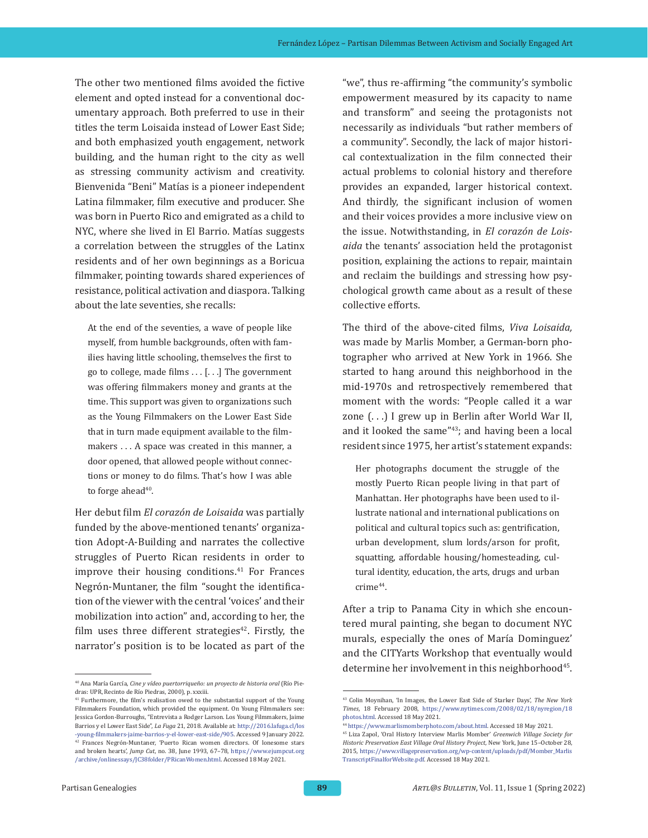The other two mentioned films avoided the fictive element and opted instead for a conventional documentary approach. Both preferred to use in their titles the term Loisaida instead of Lower East Side; and both emphasized youth engagement, network building, and the human right to the city as well as stressing community activism and creativity. Bienvenida "Beni" Matías is a pioneer independent Latina filmmaker, film executive and producer. She was born in Puerto Rico and emigrated as a child to NYC, where she lived in El Barrio. Matías suggests a correlation between the struggles of the Latinx residents and of her own beginnings as a Boricua filmmaker, pointing towards shared experiences of resistance, political activation and diaspora. Talking about the late seventies, she recalls:

At the end of the seventies, a wave of people like myself, from humble backgrounds, often with families having little schooling, themselves the first to go to college, made films . . . [. . .] The government was offering filmmakers money and grants at the time. This support was given to organizations such as the Young Filmmakers on the Lower East Side that in turn made equipment available to the filmmakers . . . A space was created in this manner, a door opened, that allowed people without connections or money to do films. That's how I was able to forge ahead<sup>40</sup>.

Her debut film *El corazón de Loisaida* was partially funded by the above-mentioned tenants' organization Adopt-A-Building and narrates the collective struggles of Puerto Rican residents in order to improve their housing conditions.<sup>41</sup> For Frances Negrón-Muntaner, the film "sought the identification of the viewer with the central 'voices' and their mobilization into action" and, according to her, the film uses three different strategies $42$ . Firstly, the narrator's position is to be located as part of the "we", thus re-affirming "the community's symbolic empowerment measured by its capacity to name and transform" and seeing the protagonists not necessarily as individuals "but rather members of a community". Secondly, the lack of major historical contextualization in the film connected their actual problems to colonial history and therefore provides an expanded, larger historical context. And thirdly, the significant inclusion of women and their voices provides a more inclusive view on the issue. Notwithstanding, in *El corazón de Loisaida* the tenants' association held the protagonist position, explaining the actions to repair, maintain and reclaim the buildings and stressing how psychological growth came about as a result of these collective efforts.

The third of the above-cited films, *Viva Loisaida,* was made by Marlis Momber, a German-born photographer who arrived at New York in 1966. She started to hang around this neighborhood in the mid-1970s and retrospectively remembered that moment with the words: "People called it a war zone (...) I grew up in Berlin after World War II, and it looked the same"43; and having been a local resident since 1975, her artist's statement expands:

Her photographs document the struggle of the mostly Puerto Rican people living in that part of Manhattan. Her photographs have been used to illustrate national and international publications on political and cultural topics such as: gentrification, urban development, slum lords/arson for profit, squatting, affordable housing/homesteading, cultural identity, education, the arts, drugs and urban crime<sup>44</sup>.

After a trip to Panama City in which she encountered mural painting, she began to document NYC murals, especially the ones of María Dominguez' and the CITYarts Workshop that eventually would determine her involvement in this neighborhood<sup>45</sup>.

<sup>40</sup> Ana María García, *Cine y vídeo puertorriqueño: un proyecto de historia oral* (Río Piedras: UPR, Recinto de Río Piedras, 2000), p. xxxiii.

<sup>41</sup> Furthermore, the film's realisation owed to the substantial support of the Young Filmmakers Foundation, which provided the equipment. On Young Filmmakers see: Jessica Gordon-Burroughs, "Entrevista a Rodger Larson. Los Young Filmmakers, Jaime Barrios y el Lower East Side", *La Fuga* 21, 2018. Available at: http://2016[.lafuga.cl/los](http://2016.lafuga.cl/los-young-filmmakers-jaime-barrios-y-el-lower-east-side/905) [-young-filmmakers-jaime-barrios-y-el-lower-east-side/905.](http://2016.lafuga.cl/los-young-filmmakers-jaime-barrios-y-el-lower-east-side/905) Accessed 9 January 2022. <sup>42</sup> Frances Negrón-Muntaner, 'Puerto Rican women directors. Of lonesome stars and broken hearts', *Jump Cut*, no. 38, June 1993, 67–78, [https://www.ejumpcut.org](https://www.ejumpcut.org/archive/onlinessays/JC38folder/PRicanWomen.html) [/archive/onlinessays/JC38folder/PRicanWomen.html.](https://www.ejumpcut.org/archive/onlinessays/JC38folder/PRicanWomen.html) Accessed 18 May 2021.

<sup>43</sup> Colin Moynihan, 'In Images, the Lower East Side of Starker Days', *The New York Times*, 18 February 2008, [https://www.nytimes.com/2008/02/18/nyregion/18](https://www.nytimes.com/2008/02/18/nyregion/18photos.html) [photos.html.](https://www.nytimes.com/2008/02/18/nyregion/18photos.html) Accessed 18 May 2021.

<sup>44</sup> [https://www.marlismomberphoto.com/about.html.](https://www.marlismomberphoto.com/about.html) Accessed 18 May 2021.

<sup>45</sup> Liza Zapol, 'Oral History Interview Marlis Momber' *Greenwich Village Society for Historic Preservation East Village Oral History Project,* New York, June 15–October 28, 2015, [https://www.villagepreservation.org/wp-content/uploads/pdf/Momber\\_Marlis](https://www.villagepreservation.org/wp-content/uploads/pdf/Momber_MarlisTranscriptFinalforWebsite.pdf) [TranscriptFinalforWebsite.pdf](https://www.villagepreservation.org/wp-content/uploads/pdf/Momber_MarlisTranscriptFinalforWebsite.pdf). Accessed 18 May 2021.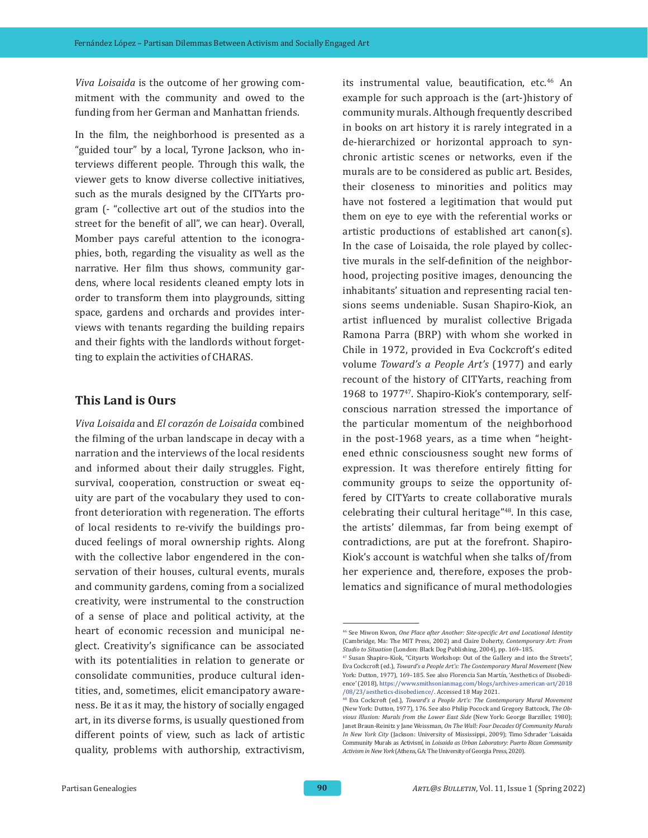*Viva Loisaida* is the outcome of her growing commitment with the community and owed to the funding from her German and Manhattan friends.

In the film, the neighborhood is presented as a "guided tour" by a local, Tyrone Jackson, who interviews different people. Through this walk, the viewer gets to know diverse collective initiatives, such as the murals designed by the CITYarts program (- "collective art out of the studios into the street for the benefit of all", we can hear). Overall, Momber pays careful attention to the iconographies, both, regarding the visuality as well as the narrative. Her film thus shows, community gardens, where local residents cleaned empty lots in order to transform them into playgrounds, sitting space, gardens and orchards and provides interviews with tenants regarding the building repairs and their fights with the landlords without forgetting to explain the activities of CHARAS.

### **This Land is Ours**

*Viva Loisaida* and *El corazón de Loisaida* combined the filming of the urban landscape in decay with a narration and the interviews of the local residents and informed about their daily struggles. Fight, survival, cooperation, construction or sweat equity are part of the vocabulary they used to confront deterioration with regeneration. The efforts of local residents to re-vivify the buildings produced feelings of moral ownership rights. Along with the collective labor engendered in the conservation of their houses, cultural events, murals and community gardens, coming from a socialized creativity, were instrumental to the construction of a sense of place and political activity, at the heart of economic recession and municipal neglect. Creativity's significance can be associated with its potentialities in relation to generate or consolidate communities, produce cultural identities, and, sometimes, elicit emancipatory awareness. Be it as it may, the history of socially engaged art, in its diverse forms, is usually questioned from different points of view, such as lack of artistic quality, problems with authorship, extractivism, its instrumental value, beautification, etc.<sup>46</sup> An example for such approach is the (art-)history of community murals. Although frequently described in books on art history it is rarely integrated in a de-hierarchized or horizontal approach to synchronic artistic scenes or networks, even if the murals are to be considered as public art. Besides, their closeness to minorities and politics may have not fostered a legitimation that would put them on eye to eye with the referential works or artistic productions of established art canon(s). In the case of Loisaida, the role played by collective murals in the self-definition of the neighborhood, projecting positive images, denouncing the inhabitants' situation and representing racial tensions seems undeniable. Susan Shapiro-Kiok, an artist influenced by muralist collective Brigada Ramona Parra (BRP) with whom she worked in Chile in 1972, provided in Eva Cockcroft's edited volume *Toward's a People Art's* (1977) and early recount of the history of CITYarts, reaching from 1968 to 1977<sup>47</sup>. Shapiro-Kiok's contemporary, selfconscious narration stressed the importance of the particular momentum of the neighborhood in the post-1968 years, as a time when "heightened ethnic consciousness sought new forms of expression. It was therefore entirely fitting for community groups to seize the opportunity offered by CITYarts to create collaborative murals celebrating their cultural heritage"48. In this case, the artists' dilemmas, far from being exempt of contradictions, are put at the forefront. Shapiro-Kiok's account is watchful when she talks of/from her experience and, therefore, exposes the problematics and significance of mural methodologies

<sup>46</sup> See Miwon Kwon, *One Place after Another: Site-specific Art and Locational Identity* (Cambridge, Ma: The MIT Press, 2002) and Claire Doherty, *Contemporary Art: From Studio to Situation* (London: Black Dog Publishing, 2004), pp. 169–185.

<sup>47</sup> Susan Shapiro-Kiok, "Cityarts Workshop: Out of the Gallery and into the Streets", Eva Cockcroft (ed.), *Toward's a People Art's: The Contemporary Mural Movement* (New York: Dutton, 1977), 169–185. See also Florencia San Martín, 'Aesthetics of Disobedience' (2018), [https://www.smithsonianmag.com/blogs/archives-american-art/2018](https://www.smithsonianmag.com/blogs/archives-american-art/2018/08/23/aesthetics-disobedience/) [/08/23/aesthetics-disobedience/](https://www.smithsonianmag.com/blogs/archives-american-art/2018/08/23/aesthetics-disobedience/). Accessed 18 May 2021.

<sup>48</sup> Eva Cockcroft (ed.), *Toward's a People Art's: The Contemporary Mural Movement*  (New York: Dutton, 1977), 176. See also Philip Pocock and Gregory Battcock, *The Obvious Illusion: Murals from the Lower East Side* (New York: George Barziller, 1980); Janet Braun-Reinitz y Jane Weissman, *On The Wall: Four Decades Of Community Murals In New York City* (Jackson: University of Mississippi, 2009); Timo Schrader 'Loisaida Community Murals as Activism', in *Loisaida as Urban Laboratory: Puerto Rican Community Activism in New York* (Athens, GA: The University of Georgia Press, 2020).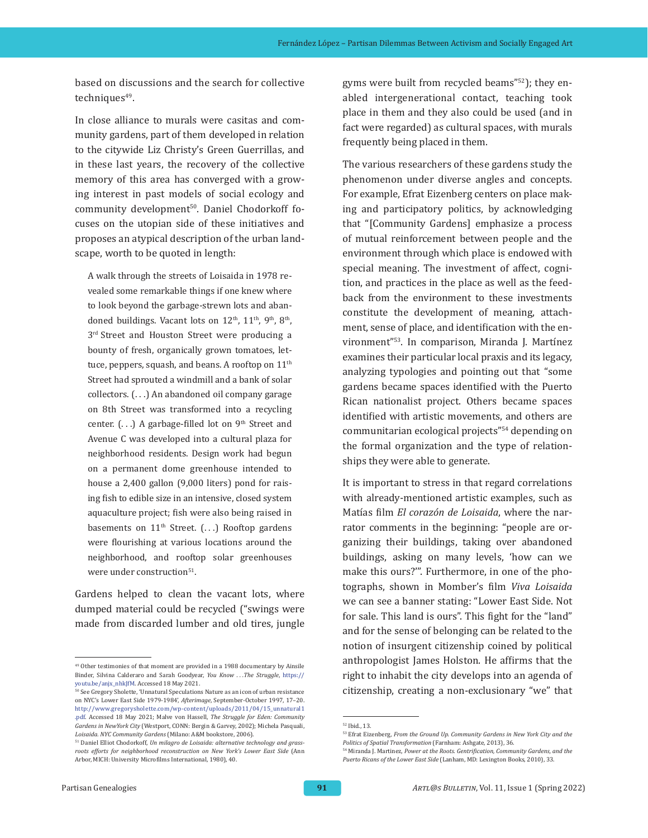based on discussions and the search for collective techniques<sup>49</sup>.

In close alliance to murals were casitas and community gardens, part of them developed in relation to the citywide Liz Christy's Green Guerrillas, and in these last years, the recovery of the collective memory of this area has converged with a growing interest in past models of social ecology and community development<sup>50</sup>. Daniel Chodorkoff focuses on the utopian side of these initiatives and proposes an atypical description of the urban landscape, worth to be quoted in length:

A walk through the streets of Loisaida in 1978 revealed some remarkable things if one knew where to look beyond the garbage-strewn lots and abandoned buildings. Vacant lots on 12<sup>th</sup>, 11<sup>th</sup>, 9<sup>th</sup>, 8<sup>th</sup>, 3<sup>rd</sup> Street and Houston Street were producing a bounty of fresh, organically grown tomatoes, lettuce, peppers, squash, and beans. A rooftop on  $11<sup>th</sup>$ Street had sprouted a windmill and a bank of solar collectors. (...) An abandoned oil company garage on 8th Street was transformed into a recycling center.  $(...)$  A garbage-filled lot on  $9<sup>th</sup>$  Street and Avenue C was developed into a cultural plaza for neighborhood residents. Design work had begun on a permanent dome greenhouse intended to house a 2,400 gallon (9,000 liters) pond for raising fish to edible size in an intensive, closed system aquaculture project; fish were also being raised in basements on  $11<sup>th</sup>$  Street. (...) Rooftop gardens were flourishing at various locations around the neighborhood, and rooftop solar greenhouses were under construction<sup>51</sup>.

Gardens helped to clean the vacant lots, where dumped material could be recycled ("swings were made from discarded lumber and old tires, jungle gyms were built from recycled beams"52); they enabled intergenerational contact, teaching took place in them and they also could be used (and in fact were regarded) as cultural spaces, with murals frequently being placed in them.

The various researchers of these gardens study the phenomenon under diverse angles and concepts. For example, Efrat Eizenberg centers on place making and participatory politics, by acknowledging that "[Community Gardens] emphasize a process of mutual reinforcement between people and the environment through which place is endowed with special meaning. The investment of affect, cognition, and practices in the place as well as the feedback from the environment to these investments constitute the development of meaning, attachment, sense of place, and identification with the environment"53. In comparison, Miranda J. Martínez examines their particular local praxis and its legacy, analyzing typologies and pointing out that "some gardens became spaces identified with the Puerto Rican nationalist project. Others became spaces identified with artistic movements, and others are communitarian ecological projects"54 depending on the formal organization and the type of relationships they were able to generate.

It is important to stress in that regard correlations with already-mentioned artistic examples, such as Matías film *El corazón de Loisaida*, where the narrator comments in the beginning: "people are organizing their buildings, taking over abandoned buildings, asking on many levels, 'how can we make this ours?'". Furthermore, in one of the photographs, shown in Momber's film *Viva Loisaida* we can see a banner stating: "Lower East Side. Not for sale. This land is ours". This fight for the "land" and for the sense of belonging can be related to the notion of insurgent citizenship coined by political anthropologist James Holston. He affirms that the right to inhabit the city develops into an agenda of citizenship, creating a non-exclusionary "we" that

<sup>49</sup> Other testimonies of that moment are provided in a 1988 documentary by Ainsile Binder, Silvina Calderaro and Sarah Goodyear, *You Know . . .The Struggle*, [https://](https://youtu.be/anjx_nhkJfM) [youtu.be/anjx\\_nhkJfM](https://youtu.be/anjx_nhkJfM). Accessed 18 May 2021.

<sup>50</sup> See Gregory Sholette, 'Unnatural Speculations Nature as an icon of urban resistance on NYC's Lower East Side 1979-1984', *Afterimage*, September-October 1997, 17–20. [http://www.gregorysholette.com/wp-content/uploads/2011/04/15\\_unnatural1](http://www.gregorysholette.com/wp-content/uploads/2011/04/15_unnatural1.pdf) [.pdf.](http://www.gregorysholette.com/wp-content/uploads/2011/04/15_unnatural1.pdf) Accessed 18 May 2021; Malve von Hassell, *The Struggle for Eden: Community Gardens in NewYork City* (Westport, CONN: Bergin & Garvey, 2002); Michela Pasquali, *Loisaida. NYC Community Gardens* (Milano: A&M bookstore, 2006).

<sup>51</sup> Daniel Elliot Chodorkoff, *Un milagro de Loisaida: alternative technology and grassroots efforts for neighborhood reconstruction on New York's Lower East Side* (Ann Arbor, MICH: University Microfilms International, 1980), 40.

<sup>52</sup> Ibid., 13.

<sup>53</sup> Efrat Eizenberg, *From the Ground Up. Community Gardens in New York City and the Politics of Spatial Transformation* (Farnham: Ashgate, 2013), 36.

<sup>54</sup> Miranda J. Martinez, *Power at the Roots. Gentrification, Community Gardens, and the Puerto Ricans of the Lower East Side* (Lanham, MD: Lexington Books, 2010), 33.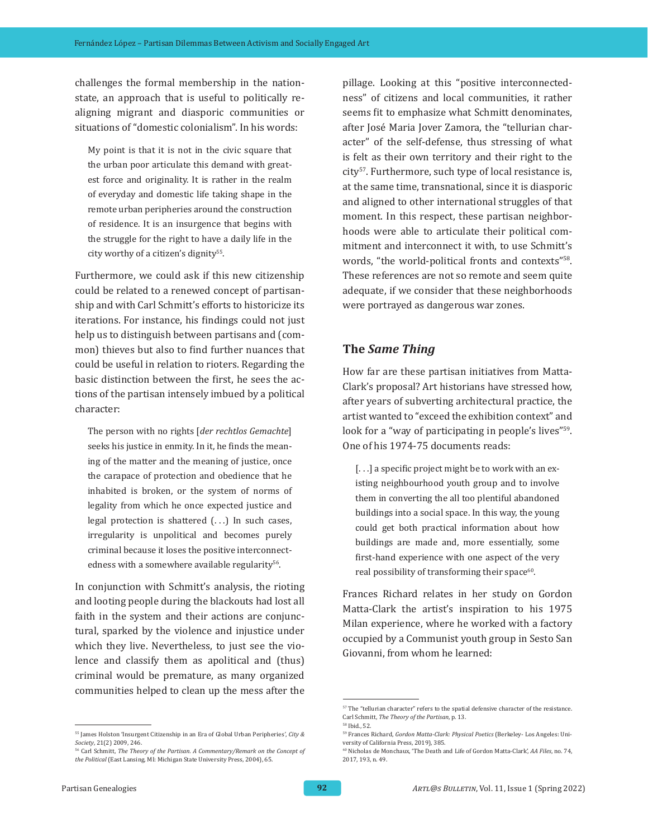challenges the formal membership in the nationstate, an approach that is useful to politically realigning migrant and diasporic communities or situations of "domestic colonialism". In his words:

My point is that it is not in the civic square that the urban poor articulate this demand with greatest force and originality. It is rather in the realm of everyday and domestic life taking shape in the remote urban peripheries around the construction of residence. It is an insurgence that begins with the struggle for the right to have a daily life in the city worthy of a citizen's dignity<sup>55</sup>.

Furthermore, we could ask if this new citizenship could be related to a renewed concept of partisanship and with Carl Schmitt's efforts to historicize its iterations. For instance, his findings could not just help us to distinguish between partisans and (common) thieves but also to find further nuances that could be useful in relation to rioters. Regarding the basic distinction between the first, he sees the actions of the partisan intensely imbued by a political character:

The person with no rights [*der rechtlos Gemachte*] seeks his justice in enmity. In it, he finds the meaning of the matter and the meaning of justice, once the carapace of protection and obedience that he inhabited is broken, or the system of norms of legality from which he once expected justice and legal protection is shattered (...) In such cases, irregularity is unpolitical and becomes purely criminal because it loses the positive interconnectedness with a somewhere available regularity<sup>56</sup>.

In conjunction with Schmitt's analysis, the rioting and looting people during the blackouts had lost all faith in the system and their actions are conjunctural, sparked by the violence and injustice under which they live. Nevertheless, to just see the violence and classify them as apolitical and (thus) criminal would be premature, as many organized communities helped to clean up the mess after the

pillage. Looking at this "positive interconnectedness" of citizens and local communities, it rather seems fit to emphasize what Schmitt denominates, after José Maria Jover Zamora, the "tellurian character" of the self-defense, thus stressing of what is felt as their own territory and their right to the city<sup>57</sup>. Furthermore, such type of local resistance is, at the same time, transnational, since it is diasporic and aligned to other international struggles of that moment. In this respect, these partisan neighborhoods were able to articulate their political commitment and interconnect it with, to use Schmitt's words, "the world-political fronts and contexts"<sup>58</sup>. These references are not so remote and seem quite adequate, if we consider that these neighborhoods were portrayed as dangerous war zones.

## **The** *Same Thing*

How far are these partisan initiatives from Matta-Clark's proposal? Art historians have stressed how, after years of subverting architectural practice, the artist wanted to "exceed the exhibition context" and look for a "way of participating in people's lives"<sup>59</sup>. One of his 1974-75 documents reads:

[...] a specific project might be to work with an existing neighbourhood youth group and to involve them in converting the all too plentiful abandoned buildings into a social space. In this way, the young could get both practical information about how buildings are made and, more essentially, some first-hand experience with one aspect of the very real possibility of transforming their space $60$ .

Frances Richard relates in her study on Gordon Matta-Clark the artist's inspiration to his 1975 Milan experience, where he worked with a factory occupied by a Communist youth group in Sesto San Giovanni, from whom he learned:

<sup>55</sup> James Holston 'Insurgent Citizenship in an Era of Global Urban Peripheries*'*, *City & Society*, 21(2) 2009, 246.

<sup>56</sup> Carl Schmitt, *The Theory of the Partisan. A Commentary/Remark on the Concept of the Political* (East Lansing, MI: Michigan State University Press, 2004), 65.

 $57$  The "tellurian character" refers to the spatial defensive character of the resistance. Carl Schmitt, *The Theory of the Partisan*, p. 13. <sup>58</sup> Ibid., 52.

<sup>59</sup> Frances Richard, *Gordon Matta-Clark: Physical Poetics* (Berkeley- Los Angeles: University of California Press, 2019), 385.

<sup>60</sup> Nicholas de Monchaux, 'The Death and Life of Gordon Matta-Clark', *AA Files*, no. 74, 2017, 193, n. 49.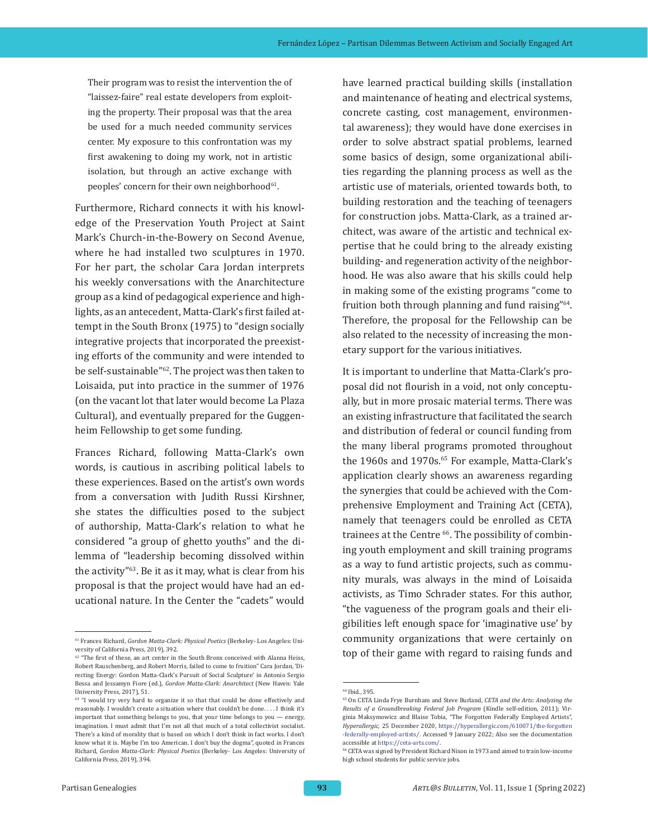Their program was to resist the intervention the of "laissez-faire" real estate developers from exploiting the property. Their proposal was that the area be used for a much needed community services center. My exposure to this confrontation was my first awakening to doing my work, not in artistic isolation, but through an active exchange with peoples' concern for their own neighborhood<sup>61</sup>.

Furthermore, Richard connects it with his knowledge of the Preservation Youth Project at Saint Mark's Church-in-the-Bowery on Second Avenue, where he had installed two sculptures in 1970. For her part, the scholar Cara Jordan interprets his weekly conversations with the Anarchitecture group as a kind of pedagogical experience and highlights, as an antecedent, Matta-Clark's first failed attempt in the South Bronx (1975) to "design socially integrative projects that incorporated the preexisting efforts of the community and were intended to be self-sustainable"62. The project was then taken to Loisaida, put into practice in the summer of 1976 (on the vacant lot that later would become La Plaza Cultural), and eventually prepared for the Guggenheim Fellowship to get some funding.

Frances Richard, following Matta-Clark's own words, is cautious in ascribing political labels to these experiences. Based on the artist's own words from a conversation with Judith Russi Kirshner, she states the difficulties posed to the subject of authorship, Matta-Clark's relation to what he considered "a group of ghetto youths" and the dilemma of "leadership becoming dissolved within the activity"63. Be it as it may, what is clear from his proposal is that the project would have had an educational nature. In the Center the "cadets" would

have learned practical building skills (installation and maintenance of heating and electrical systems, concrete casting, cost management, environmental awareness); they would have done exercises in order to solve abstract spatial problems, learned some basics of design, some organizational abilities regarding the planning process as well as the artistic use of materials, oriented towards both, to building restoration and the teaching of teenagers for construction jobs. Matta-Clark, as a trained architect, was aware of the artistic and technical expertise that he could bring to the already existing building- and regeneration activity of the neighborhood. He was also aware that his skills could help in making some of the existing programs "come to fruition both through planning and fund raising"64. Therefore, the proposal for the Fellowship can be also related to the necessity of increasing the monetary support for the various initiatives.

It is important to underline that Matta-Clark's proposal did not flourish in a void, not only conceptually, but in more prosaic material terms. There was an existing infrastructure that facilitated the search and distribution of federal or council funding from the many liberal programs promoted throughout the 1960s and 1970s.<sup>65</sup> For example, Matta-Clark's application clearly shows an awareness regarding the synergies that could be achieved with the Comprehensive Employment and Training Act (CETA), namely that teenagers could be enrolled as CETA trainees at the Centre <sup>66</sup>. The possibility of combining youth employment and skill training programs as a way to fund artistic projects, such as community murals, was always in the mind of Loisaida activists, as Timo Schrader states. For this author, "the vagueness of the program goals and their eligibilities left enough space for 'imaginative use' by community organizations that were certainly on top of their game with regard to raising funds and

<sup>61</sup> Frances Richard, *Gordon Matta-Clark: Physical Poetics* (Berkeley- Los Angeles: University of California Press, 2019), 392.

 $^{62}$  "The first of these, an art center in the South Bronx conceived with Alanna Heiss, Robert Rauschenberg, and Robert Morris, failed to come to fruition" Cara Jordan, 'Directing Energy: Gordon Matta-Clark's Pursuit of Social Sculpture' in Antonio Sergio Bessa and Jessamyn Fiore (ed.), *Gordon Matta-Clark: Anarchitect* (New Haven: Yale University Press, 2017), 51.

<sup>&</sup>lt;sup>63</sup> "I would try very hard to organize it so that that could be done effectively and reasonably. I wouldn't create a situation where that couldn't be done.... I think it's important that something belongs to you, that your time belongs to you — energy, imagination. I must admit that I'm not all that much of a total collectivist socialist. There's a kind of morality that is based on which I don't think in fact works. I don't know what it is. Maybe I'm too American. I don't buy the dogma", quoted in Frances Richard, *Gordon Matta-Clark: Physical Poetics* (Berkeley- Los Angeles: University of California Press, 2019), 394.

<sup>64</sup> Ibid., 395.

<sup>65</sup> On CETA Linda Frye Burnham and Steve Burland, *CETA and the Arts: Analyzing the Results of a Groundbreaking Federal Job Program* (Kindle self-edition, 2011); Virginia Maksymowicz and Blaise Tobia, "The Forgotten Federally Employed Artists", *Hyperallergic*, 25 December 2020, [https://hyperallergic.com/610071/the-forgotten](https://hyperallergic.com/610071/the-forgotten-federally-employed-artists/) [-federally-employed-artists/.](https://hyperallergic.com/610071/the-forgotten-federally-employed-artists/) Accessed 9 January 2022; Also see the documentation accessible at [https://ceta-arts.com/.](https://ceta-arts.com/)

<sup>66</sup> CETA was signed by President Richard Nixon in 1973 and aimed to train low-income high school students for public service jobs.